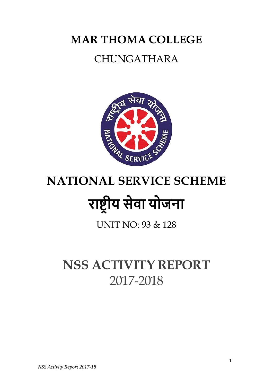## **MAR THOMA COLLEGE**

## CHUNGATHARA



# **NATIONAL SERVICE SCHEME**  राष्ट्रीय सेवा योजना

UNIT NO: 93 & 128

## **NSS ACTIVITY REPORT**  2017-2018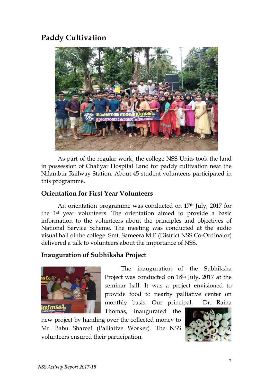### **Paddy Cultivation**



As part of the regular work, the college NSS Units took the land in possession of Chaliyar Hospital Land for paddy cultivation near the Nilambur Railway Station. About 45 student volunteers participated in this programme.

#### **Orientation for First Year Volunteers**

An orientation programme was conducted on 17<sup>th</sup> July, 2017 for the 1st year volunteers. The orientation aimed to provide a basic information to the volunteers about the principles and objectives of National Service Scheme. The meeting was conducted at the audio visual hall of the college. Smt. Sameera M.P (District NSS Co-Ordinator) delivered a talk to volunteers about the importance of NSS.

#### **Inauguration of Subhiksha Project**



The inauguration of the Subhiksha Project was conducted on 18th July, 2017 at the seminar hall. It was a project envisioned to provide food to nearby palliative center on monthly basis. Our principal, Dr. Raina

Thomas, inaugurated the new project by handing over the collected money to Mr. Babu Shareef (Palliative Worker). The NSS volunteers ensured their participation.

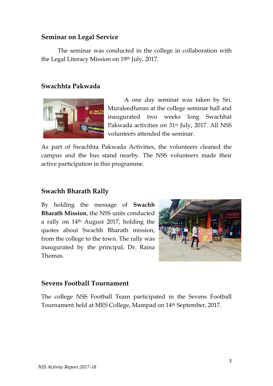#### **Seminar on Legal Service**

The seminar was conducted in the college in collaboration with the Legal Literacy Mission on 19th July, 2017.

#### **Swachhta Pakwada**



A one day seminar was taken by Sri. Muraleedharan at the college seminar hall and inaugurated two weeks long Swachhat Pakwada activities on 31st July, 2017. All NSS volunteers attended the seminar.

As part of Swachhta Pakwada Activities, the volunteers cleaned the campus and the bus stand nearby. The NSS volunteers made their active participation in this programme.

#### **Swachh Bharath Rally**

By holding the message of **Swachh Bharath Mission**, the NSS units conducted a rally on 14th August 2017, holding the quotes about Swachh Bharath mission, from the college to the town. The rally was inaugurated by the principal, Dr. Raina Thomas.



#### **Sevens Football Tournament**

The college NSS Football Team participated in the Sevens Football Tournament held at MES College, Mampad on 14th September, 2017.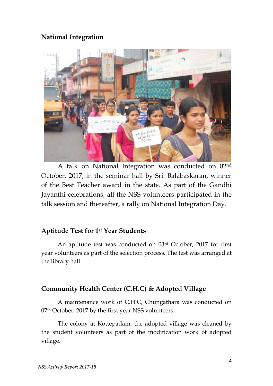#### **National Integration**



A talk on National Integration was conducted on 02nd October, 2017, in the seminar hall by Sri. Balabaskaran, winner of the Best Teacher award in the state. As part of the Gandhi Jayanthi celebrations, all the NSS volunteers participated in the talk session and thereafter, a rally on National Integration Day.

#### **Aptitude Test for 1st Year Students**

An aptitude test was conducted on 03rd October, 2017 for first year volunteers as part of the selection process. The test was arranged at the library hall.

#### **Community Health Center (C.H.C) & Adopted Village**

A maintenance work of C.H.C, Chungathara was conducted on 07<sup>th</sup> October, 2017 by the first year NSS volunteers.

The colony at Kottepadam, the adopted village was cleaned by the student volunteers as part of the modification work of adopted village.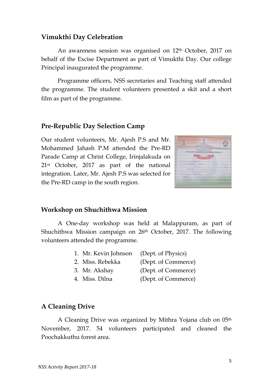#### **Vimukthi Day Celebration**

An awareness session was organised on 12<sup>th</sup> October, 2017 on behalf of the Excise Department as part of Vimukthi Day. Our college Principal inaugurated the programme.

Programme officers, NSS secretaries and Teaching staff attended the programme. The student volunteers presented a skit and a short film as part of the programme.

#### **Pre-Republic Day Selection Camp**

Our student volunteers, Mr. Ajesh P.S and Mr. Mohammed Jahash P.M attended the Pre-RD Parade Camp at Christ College, Irinjalakuda on 21st October, 2017 as part of the national integration. Later, Mr. Ajesh P.S was selected for the Pre-RD camp in the south region.



#### **Workshop on Shuchithwa Mission**

A One-day workshop was held at Malappuram, as part of Shuchithwa Mission campaign on 26th October, 2017. The following volunteers attended the programme.

| 1. Mr. Kevin Johnson (Dept. of Physics)                 |                        |
|---------------------------------------------------------|------------------------|
| 2. Miss. Rebekka                                        | (Dept. of Commerce)    |
| 3. Mr. Akshay                                           | (Dept. of Commerce)    |
| $\Lambda$ $\Lambda$ <sup>t</sup> $\Lambda$ <sup>1</sup> | $(D_{\text{max}} + C)$ |

4. Miss. Dilna (Dept. of Commerce)

#### **A Cleaning Drive**

A Cleaning Drive was organized by Mithra Yojana club on 05th November, 2017. 54 volunteers participated and cleaned the Poochakkuthu forest area.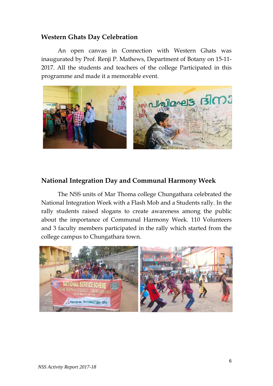#### **Western Ghats Day Celebration**

An open canvas in Connection with Western Ghats was inaugurated by Prof. Renji P. Mathews, Department of Botany on 15-11- 2017. All the students and teachers of the college Participated in this programme and made it a memorable event.



#### **National Integration Day and Communal Harmony Week**

The NSS units of Mar Thoma college Chungathara celebrated the National Integration Week with a Flash Mob and a Students rally. In the rally students raised slogans to create awareness among the public about the importance of Communal Harmony Week. 110 Volunteers and 3 faculty members participated in the rally which started from the college campus to Chungathara town.

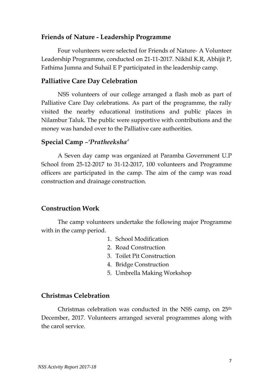#### **Friends of Nature - Leadership Programme**

Four volunteers were selected for Friends of Nature- A Volunteer Leadership Programme, conducted on 21-11-2017. Nikhil K.R, Abhijit P, Fathima Jumna and Suhail E P participated in the leadership camp.

#### **Palliative Care Day Celebration**

NSS volunteers of our college arranged a flash mob as part of Palliative Care Day celebrations. As part of the programme, the rally visited the nearby educational institutions and public places in Nilambur Taluk. The public were supportive with contributions and the money was handed over to the Palliative care authorities.

#### **Special Camp** –*'Pratheeksha'*

 A Seven day camp was organized at Paramba Government U.P School from 25-12-2017 to 31-12-2017, 100 volunteers and Programme officers are participated in the camp. The aim of the camp was road construction and drainage construction.

#### **Construction Work**

The camp volunteers undertake the following major Programme with in the camp period.

- 1. School Modification
- 2. Road Construction
- 3. Toilet Pit Construction
- 4. Bridge Construction
- 5. Umbrella Making Workshop

#### **Christmas Celebration**

 Christmas celebration was conducted in the NSS camp, on 25th December, 2017. Volunteers arranged several programmes along with the carol service.